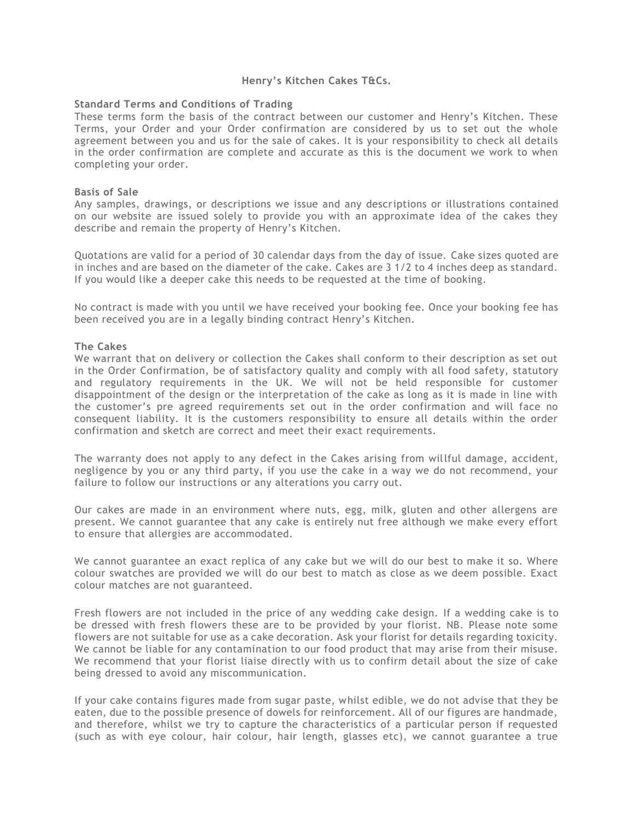# **Henry's Kitchen Cakes T&Cs.**

## **Standard Terms and Conditions of Trading**

These terms form the basis of the contract between our customer and Henry's Kitchen. These Terms, your Order and your Order confirmation are considered by us to set out the whole agreement between you and us for the sale of cakes. It is your responsibility to check all details in the order confirmation are complete and accurate as this is the document we work to when completing your order.

## **Basis of Sale**

Any samples, drawings, or descriptions we issue and any descriptions or illustrations contained on our website are issued solely to provide you with an approximate idea of the cakes they describe and remain the property of Henry's Kitchen.

Quotations are valid for a period of 30 calendar days from the day of issue. Cake sizes quoted are in inches and are based on the diameter of the cake. Cakes are 3 1/2 to 4 inches deep as standard. If you would like a deeper cake this needs to be requested at the time of booking.

No contract is made with you until we have received your booking fee. Once your booking fee has been received you are in a legally binding contract Henry's Kitchen.

## **The Cakes**

We warrant that on delivery or collection the Cakes shall conform to their description as set out in the Order Confirmation, be of satisfactory quality and comply with all food safety, statutory and regulatory requirements in the UK. We will not be held responsible for customer disappointment of the design or the interpretation of the cake as long as it is made in line with the customer's pre agreed requirements set out in the order confirmation and will face no consequent liability. It is the customers responsibility to ensure all details within the order confirmation and sketch are correct and meet their exact requirements.

The warranty does not apply to any defect in the Cakes arising from willful damage, accident, negligence by you or any third party, if you use the cake in a way we do not recommend, your failure to follow our instructions or any alterations you carry out.

Our cakes are made in an environment where nuts, egg, milk, gluten and other allergens are present. We cannot guarantee that any cake is entirely nut free although we make every effort to ensure that allergies are accommodated.

We cannot guarantee an exact replica of any cake but we will do our best to make it so. Where colour swatches are provided we will do our best to match as close as we deem possible. Exact colour matches are not guaranteed.

Fresh flowers are not included in the price of any wedding cake design. If a wedding cake is to be dressed with fresh flowers these are to be provided by your florist. NB. Please note some flowers are not suitable for use as a cake decoration. Ask your florist for details regarding toxicity. We cannot be liable for any contamination to our food product that may arise from their misuse. We recommend that your florist liaise directly with us to confirm detail about the size of cake being dressed to avoid any miscommunication.

If your cake contains figures made from sugar paste, whilst edible, we do not advise that they be eaten, due to the possible presence of dowels for reinforcement. All of our figures are handmade, and therefore, whilst we try to capture the characteristics of a particular person if requested (such as with eye colour, hair colour, hair length, glasses etc), we cannot guarantee a true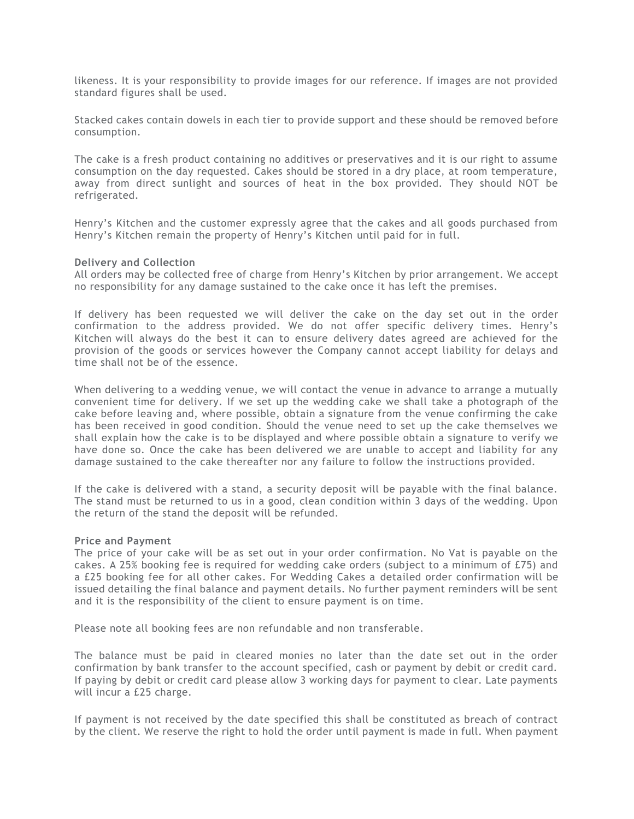likeness. It is your responsibility to provide images for our reference. If images are not provided standard figures shall be used.

Stacked cakes contain dowels in each tier to provide support and these should be removed before consumption.

The cake is a fresh product containing no additives or preservatives and it is our right to assume consumption on the day requested. Cakes should be stored in a dry place, at room temperature, away from direct sunlight and sources of heat in the box provided. They should NOT be refrigerated.

Henry's Kitchen and the customer expressly agree that the cakes and all goods purchased from Henry's Kitchen remain the property of Henry's Kitchen until paid for in full.

#### **Delivery and Collection**

All orders may be collected free of charge from Henry's Kitchen by prior arrangement. We accept no responsibility for any damage sustained to the cake once it has left the premises.

If delivery has been requested we will deliver the cake on the day set out in the order confirmation to the address provided. We do not offer specific delivery times. Henry's Kitchen will always do the best it can to ensure delivery dates agreed are achieved for the provision of the goods or services however the Company cannot accept liability for delays and time shall not be of the essence.

When delivering to a wedding venue, we will contact the venue in advance to arrange a mutually convenient time for delivery. If we set up the wedding cake we shall take a photograph of the cake before leaving and, where possible, obtain a signature from the venue confirming the cake has been received in good condition. Should the venue need to set up the cake themselves we shall explain how the cake is to be displayed and where possible obtain a signature to verify we have done so. Once the cake has been delivered we are unable to accept and liability for any damage sustained to the cake thereafter nor any failure to follow the instructions provided.

If the cake is delivered with a stand, a security deposit will be payable with the final balance. The stand must be returned to us in a good, clean condition within 3 days of the wedding. Upon the return of the stand the deposit will be refunded.

#### **Price and Payment**

The price of your cake will be as set out in your order confirmation. No Vat is payable on the cakes. A 25% booking fee is required for wedding cake orders (subject to a minimum of £75) and a £25 booking fee for all other cakes. For Wedding Cakes a detailed order confirmation will be issued detailing the final balance and payment details. No further payment reminders will be sent and it is the responsibility of the client to ensure payment is on time.

Please note all booking fees are non refundable and non transferable.

The balance must be paid in cleared monies no later than the date set out in the order confirmation by bank transfer to the account specified, cash or payment by debit or credit card. If paying by debit or credit card please allow 3 working days for payment to clear. Late payments will incur a £25 charge.

If payment is not received by the date specified this shall be constituted as breach of contract by the client. We reserve the right to hold the order until payment is made in full. When payment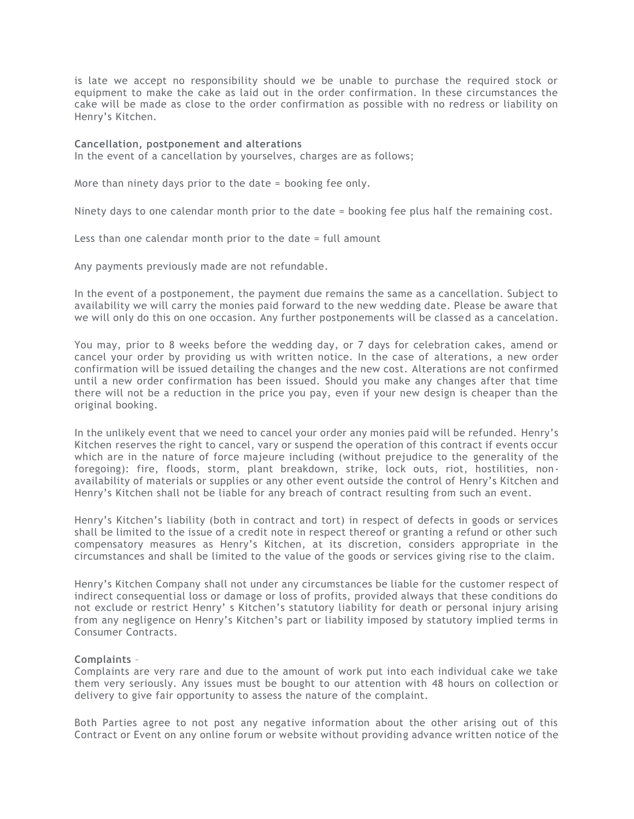is late we accept no responsibility should we be unable to purchase the required stock or equipment to make the cake as laid out in the order confirmation. In these circumstances the cake will be made as close to the order confirmation as possible with no redress or liability on Henry's Kitchen.

### **Cancellation, postponement and alterations**

In the event of a cancellation by yourselves, charges are as follows;

More than ninety days prior to the date = booking fee only.

Ninety days to one calendar month prior to the date = booking fee plus half the remaining cost.

Less than one calendar month prior to the date = full amount

Any payments previously made are not refundable.

In the event of a postponement, the payment due remains the same as a cancellation. Subject to availability we will carry the monies paid forward to the new wedding date. Please be aware that we will only do this on one occasion. Any further postponements will be classed as a cancelation.

You may, prior to 8 weeks before the wedding day, or 7 days for celebration cakes, amend or cancel your order by providing us with written notice. In the case of alterations, a new order confirmation will be issued detailing the changes and the new cost. Alterations are not confirmed until a new order confirmation has been issued. Should you make any changes after that time there will not be a reduction in the price you pay, even if your new design is cheaper than the original booking.

In the unlikely event that we need to cancel your order any monies paid will be refunded. Henry's Kitchen reserves the right to cancel, vary or suspend the operation of this contract if events occur which are in the nature of force majeure including (without prejudice to the generality of the foregoing): fire, floods, storm, plant breakdown, strike, lock outs, riot, hostilities, nonavailability of materials or supplies or any other event outside the control of Henry's Kitchen and Henry's Kitchen shall not be liable for any breach of contract resulting from such an event.

Henry's Kitchen's liability (both in contract and tort) in respect of defects in goods or services shall be limited to the issue of a credit note in respect thereof or granting a refund or other such compensatory measures as Henry's Kitchen, at its discretion, considers appropriate in the circumstances and shall be limited to the value of the goods or services giving rise to the claim.

Henry's Kitchen Company shall not under any circumstances be liable for the customer respect of indirect consequential loss or damage or loss of profits, provided always that these conditions do not exclude or restrict Henry' s Kitchen's statutory liability for death or personal injury arising from any negligence on Henry's Kitchen's part or liability imposed by statutory implied terms in Consumer Contracts.

## **Complaints** –

Complaints are very rare and due to the amount of work put into each individual cake we take them very seriously. Any issues must be bought to our attention with 48 hours on collection or delivery to give fair opportunity to assess the nature of the complaint.

Both Parties agree to not post any negative information about the other arising out of this Contract or Event on any online forum or website without providing advance written notice of the